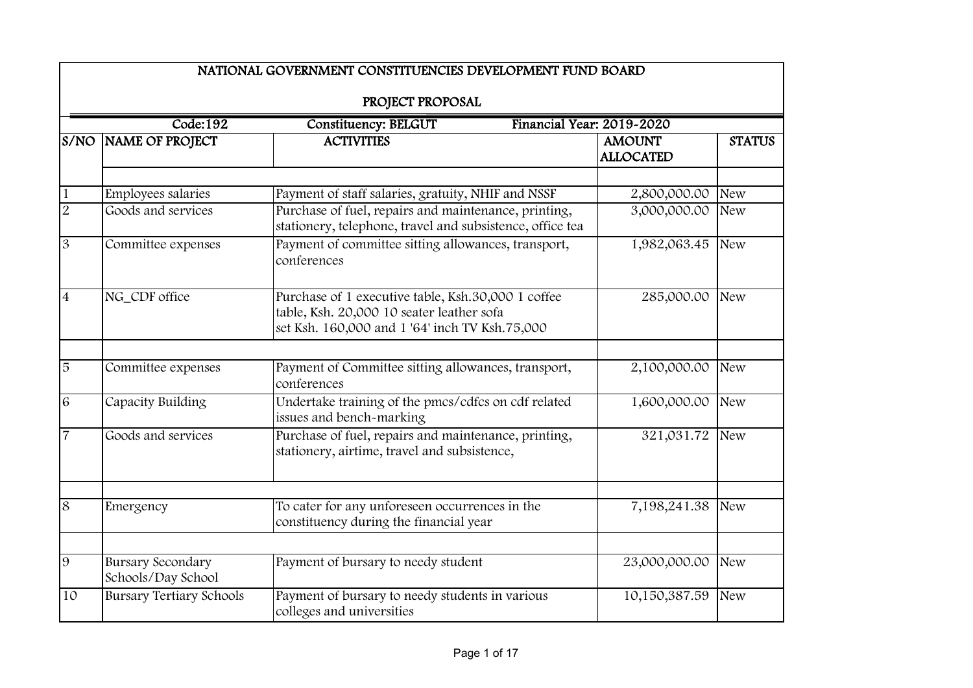|                | NATIONAL GOVERNMENT CONSTITUENCIES DEVELOPMENT FUND BOARD |                                                                                                                                                   |                                   |               |  |  |
|----------------|-----------------------------------------------------------|---------------------------------------------------------------------------------------------------------------------------------------------------|-----------------------------------|---------------|--|--|
|                |                                                           | PROJECT PROPOSAL                                                                                                                                  |                                   |               |  |  |
|                | Code:192                                                  | <b>Constituency: BELGUT</b>                                                                                                                       | Financial Year: 2019-2020         |               |  |  |
| S/NO           | NAME OF PROJECT                                           | <b>ACTIVITIES</b>                                                                                                                                 | <b>AMOUNT</b><br><b>ALLOCATED</b> | <b>STATUS</b> |  |  |
| $\mathbf{1}$   | Employees salaries                                        | Payment of staff salaries, gratuity, NHIF and NSSF                                                                                                | 2,800,000.00                      | <b>New</b>    |  |  |
| $\overline{2}$ | Goods and services                                        | Purchase of fuel, repairs and maintenance, printing,<br>stationery, telephone, travel and subsistence, office tea                                 | 3,000,000.00                      | <b>New</b>    |  |  |
| $\overline{3}$ | Committee expenses                                        | Payment of committee sitting allowances, transport,<br>conferences                                                                                | 1,982,063.45                      | <b>New</b>    |  |  |
| $\overline{4}$ | NG_CDF office                                             | Purchase of 1 executive table, Ksh.30,000 1 coffee<br>table, Ksh. 20,000 10 seater leather sofa<br>set Ksh. 160,000 and 1 '64' inch TV Ksh.75,000 | 285,000.00                        | <b>New</b>    |  |  |
| $\overline{5}$ | Committee expenses                                        | Payment of Committee sitting allowances, transport,<br>conferences                                                                                | 2,100,000.00                      | <b>New</b>    |  |  |
| $\overline{6}$ | Capacity Building                                         | Undertake training of the pmcs/cdfcs on cdf related<br>issues and bench-marking                                                                   | 1,600,000.00                      | <b>New</b>    |  |  |
| $\overline{7}$ | Goods and services                                        | Purchase of fuel, repairs and maintenance, printing,<br>stationery, airtime, travel and subsistence,                                              | 321,031.72                        | <b>New</b>    |  |  |
| 8              | Emergency                                                 | To cater for any unforeseen occurrences in the<br>constituency during the financial year                                                          | 7,198,241.38                      | <b>New</b>    |  |  |
| 9              | <b>Bursary Secondary</b><br>Schools/Day School            | Payment of bursary to needy student                                                                                                               | 23,000,000.00                     | <b>New</b>    |  |  |
| 10             | <b>Bursary Tertiary Schools</b>                           | Payment of bursary to needy students in various<br>colleges and universities                                                                      | 10,150,387.59                     | <b>New</b>    |  |  |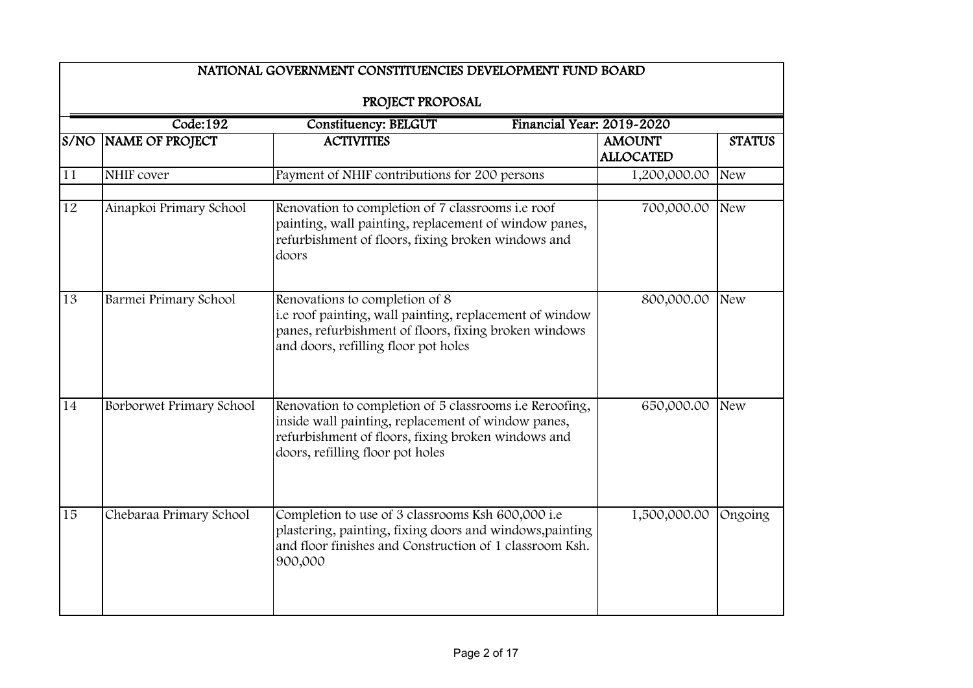| PROJECT PROPOSAL<br>Code:192<br>Financial Year: 2019-2020<br><b>Constituency: BELGUT</b> |                          |                                                                                                                                                                                                         |                                   |               |  |
|------------------------------------------------------------------------------------------|--------------------------|---------------------------------------------------------------------------------------------------------------------------------------------------------------------------------------------------------|-----------------------------------|---------------|--|
|                                                                                          | S/NO NAME OF PROJECT     | <b>ACTIVITIES</b>                                                                                                                                                                                       | <b>AMOUNT</b><br><b>ALLOCATED</b> | <b>STATUS</b> |  |
| 11                                                                                       | NHIF cover               | Payment of NHIF contributions for 200 persons                                                                                                                                                           | 1,200,000.00                      | <b>New</b>    |  |
| 12                                                                                       | Ainapkoi Primary School  | Renovation to completion of 7 classrooms i.e roof<br>painting, wall painting, replacement of window panes,<br>refurbishment of floors, fixing broken windows and<br>doors                               | 700,000.00                        | <b>New</b>    |  |
| 13                                                                                       | Barmei Primary School    | Renovations to completion of 8<br>i.e roof painting, wall painting, replacement of window<br>panes, refurbishment of floors, fixing broken windows<br>and doors, refilling floor pot holes              | 800,000.00                        | <b>New</b>    |  |
| 14                                                                                       | Borborwet Primary School | Renovation to completion of 5 classrooms i.e Reroofing,<br>inside wall painting, replacement of window panes,<br>refurbishment of floors, fixing broken windows and<br>doors, refilling floor pot holes | 650,000.00                        | <b>New</b>    |  |
| 15                                                                                       | Chebaraa Primary School  | Completion to use of 3 classrooms Ksh 600,000 i.e<br>plastering, painting, fixing doors and windows, painting<br>and floor finishes and Construction of 1 classroom Ksh.<br>900,000                     | 1,500,000.00                      | Ongoing       |  |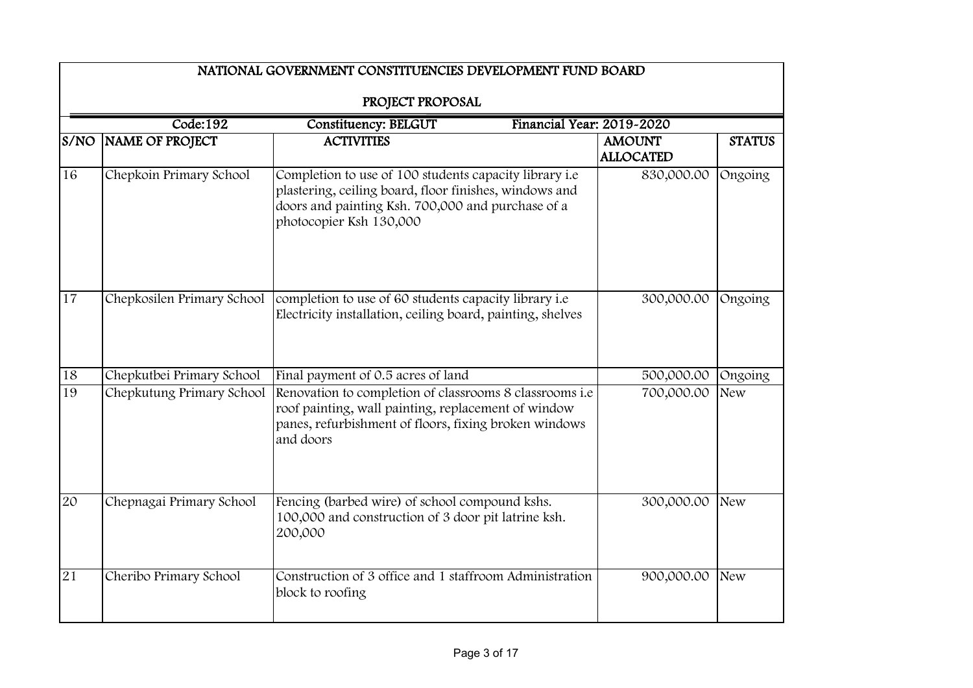|      | NATIONAL GOVERNMENT CONSTITUENCIES DEVELOPMENT FUND BOARD |                                                                                                                                                                                                  |                                   |               |  |  |
|------|-----------------------------------------------------------|--------------------------------------------------------------------------------------------------------------------------------------------------------------------------------------------------|-----------------------------------|---------------|--|--|
|      | PROJECT PROPOSAL                                          |                                                                                                                                                                                                  |                                   |               |  |  |
|      | Code:192                                                  | Financial Year: 2019-2020<br><b>Constituency: BELGUT</b>                                                                                                                                         |                                   |               |  |  |
| S/NO | <b>NAME OF PROJECT</b>                                    | <b>ACTIVITIES</b>                                                                                                                                                                                | <b>AMOUNT</b><br><b>ALLOCATED</b> | <b>STATUS</b> |  |  |
| 16   | Chepkoin Primary School                                   | Completion to use of 100 students capacity library i.e<br>plastering, ceiling board, floor finishes, windows and<br>doors and painting Ksh. 700,000 and purchase of a<br>photocopier Ksh 130,000 | 830,000.00                        | Ongoing       |  |  |
| 17   | Chepkosilen Primary School                                | completion to use of 60 students capacity library i.e<br>Electricity installation, ceiling board, painting, shelves                                                                              | 300,000.00                        | Ongoing       |  |  |
| 18   | Chepkutbei Primary School                                 | Final payment of 0.5 acres of land                                                                                                                                                               | 500,000.00                        | Ongoing       |  |  |
| 19   | Chepkutung Primary School                                 | Renovation to completion of classrooms 8 classrooms i.e.<br>roof painting, wall painting, replacement of window<br>panes, refurbishment of floors, fixing broken windows<br>and doors            | 700,000.00                        | <b>New</b>    |  |  |
| 20   | Chepnagai Primary School                                  | Fencing (barbed wire) of school compound kshs.<br>100,000 and construction of 3 door pit latrine ksh.<br>200,000                                                                                 | 300,000.00                        | <b>New</b>    |  |  |
| 21   | Cheribo Primary School                                    | Construction of 3 office and 1 staffroom Administration<br>block to roofing                                                                                                                      | 900,000.00                        | <b>New</b>    |  |  |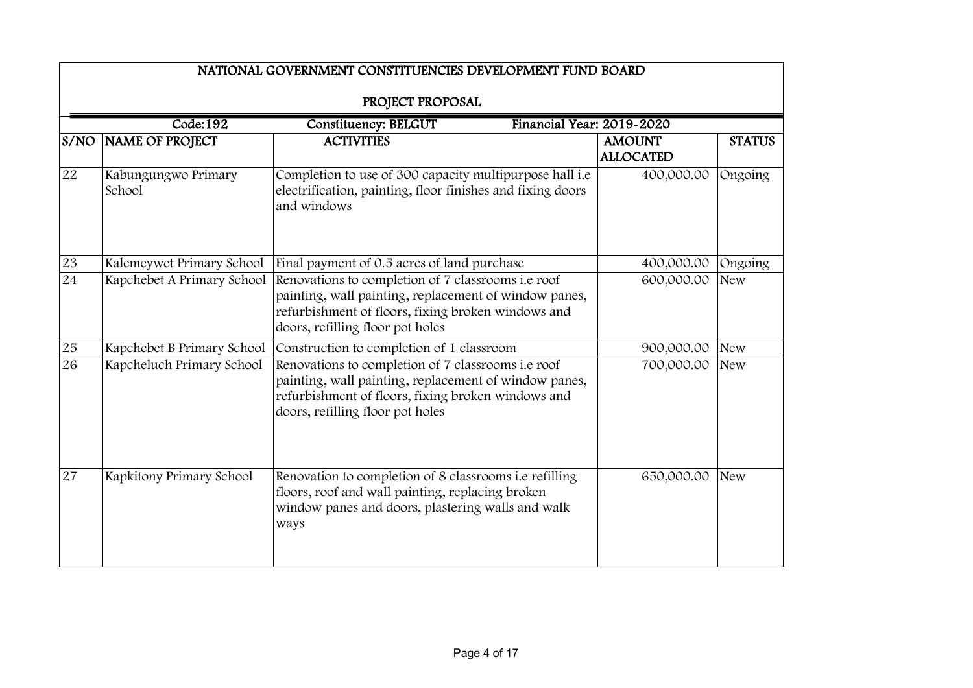|                 | NATIONAL GOVERNMENT CONSTITUENCIES DEVELOPMENT FUND BOARD |                                                                                                                                                                                                       |                                   |               |  |  |
|-----------------|-----------------------------------------------------------|-------------------------------------------------------------------------------------------------------------------------------------------------------------------------------------------------------|-----------------------------------|---------------|--|--|
|                 | PROJECT PROPOSAL                                          |                                                                                                                                                                                                       |                                   |               |  |  |
|                 | Code:192                                                  | <b>Constituency: BELGUT</b><br>Financial Year: 2019-2020                                                                                                                                              |                                   |               |  |  |
| S/NO            | NAME OF PROJECT                                           | <b>ACTIVITIES</b>                                                                                                                                                                                     | <b>AMOUNT</b><br><b>ALLOCATED</b> | <b>STATUS</b> |  |  |
| 22              | Kabungungwo Primary<br>School                             | Completion to use of 300 capacity multipurpose hall i.e<br>electrification, painting, floor finishes and fixing doors<br>and windows                                                                  | 400,000.00                        | Ongoing       |  |  |
| 23              | Kalemeywet Primary School                                 | Final payment of 0.5 acres of land purchase                                                                                                                                                           | 400,000.00                        | Ongoing       |  |  |
| 24              | Kapchebet A Primary School                                | Renovations to completion of 7 classrooms i.e roof<br>painting, wall painting, replacement of window panes,<br>refurbishment of floors, fixing broken windows and<br>doors, refilling floor pot holes | 600,000.00                        | <b>New</b>    |  |  |
| 25              | Kapchebet B Primary School                                | Construction to completion of 1 classroom                                                                                                                                                             | 900,000.00                        | <b>New</b>    |  |  |
| 26              | Kapcheluch Primary School                                 | Renovations to completion of 7 classrooms i.e roof<br>painting, wall painting, replacement of window panes,<br>refurbishment of floors, fixing broken windows and<br>doors, refilling floor pot holes | 700,000.00                        | <b>New</b>    |  |  |
| $\overline{27}$ | Kapkitony Primary School                                  | Renovation to completion of 8 classrooms i.e refilling<br>floors, roof and wall painting, replacing broken<br>window panes and doors, plastering walls and walk<br>ways                               | 650,000.00                        | <b>New</b>    |  |  |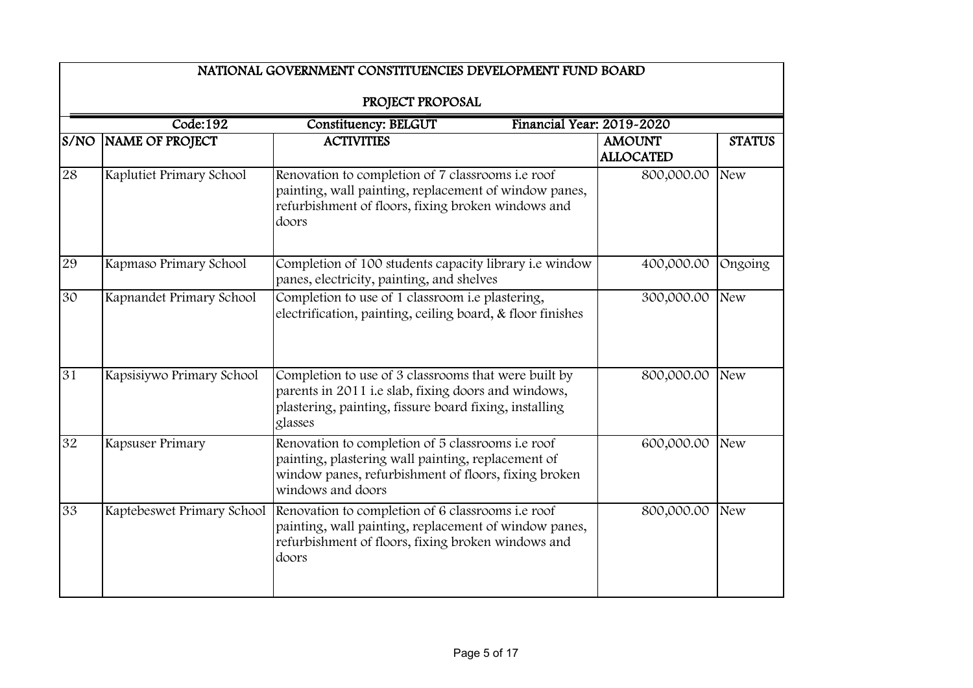|      |                           | NATIONAL GOVERNMENT CONSTITUENCIES DEVELOPMENT FUND BOARD                                                                                                                                            |                                   |               |
|------|---------------------------|------------------------------------------------------------------------------------------------------------------------------------------------------------------------------------------------------|-----------------------------------|---------------|
|      |                           | PROJECT PROPOSAL                                                                                                                                                                                     |                                   |               |
|      | Code:192                  | <b>Constituency: BELGUT</b><br>Financial Year: 2019-2020                                                                                                                                             |                                   |               |
| S/NO | NAME OF PROJECT           | <b>ACTIVITIES</b>                                                                                                                                                                                    | <b>AMOUNT</b><br><b>ALLOCATED</b> | <b>STATUS</b> |
| 28   | Kaplutiet Primary School  | Renovation to completion of 7 classrooms i.e roof<br>painting, wall painting, replacement of window panes,<br>refurbishment of floors, fixing broken windows and<br>doors                            | 800,000.00                        | <b>New</b>    |
| 29   | Kapmaso Primary School    | Completion of 100 students capacity library i.e window<br>panes, electricity, painting, and shelves                                                                                                  | 400,000.00                        | Ongoing       |
| 30   | Kapnandet Primary School  | Completion to use of 1 classroom i.e plastering,<br>electrification, painting, ceiling board, & floor finishes                                                                                       | 300,000.00                        | <b>New</b>    |
| 31   | Kapsisiywo Primary School | Completion to use of 3 classrooms that were built by<br>parents in 2011 i.e slab, fixing doors and windows,<br>plastering, painting, fissure board fixing, installing<br>glasses                     | 800,000.00                        | <b>New</b>    |
| 32   | Kapsuser Primary          | Renovation to completion of 5 classrooms i.e roof<br>painting, plastering wall painting, replacement of<br>window panes, refurbishment of floors, fixing broken<br>windows and doors                 | 600,000.00                        | <b>New</b>    |
| 33   |                           | Kaptebeswet Primary School Renovation to completion of 6 classrooms i.e roof<br>painting, wall painting, replacement of window panes,<br>refurbishment of floors, fixing broken windows and<br>doors | 800,000.00                        | <b>New</b>    |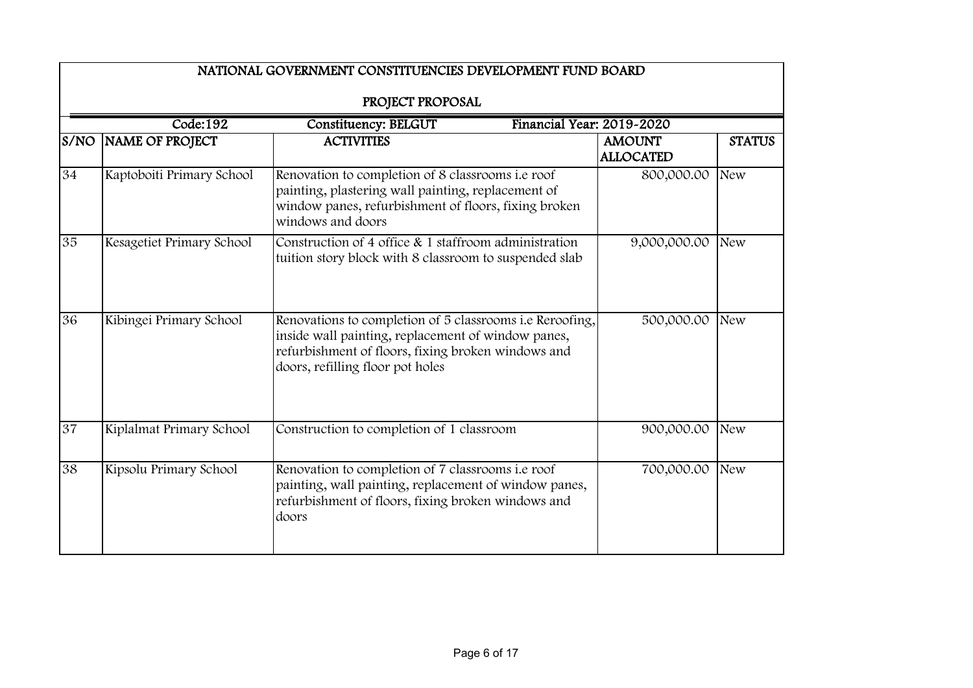|      | NATIONAL GOVERNMENT CONSTITUENCIES DEVELOPMENT FUND BOARD |                                                                                                                                                                                                          |                                   |               |  |  |
|------|-----------------------------------------------------------|----------------------------------------------------------------------------------------------------------------------------------------------------------------------------------------------------------|-----------------------------------|---------------|--|--|
|      | PROJECT PROPOSAL                                          |                                                                                                                                                                                                          |                                   |               |  |  |
|      | Code:192                                                  | Financial Year: 2019-2020<br><b>Constituency: BELGUT</b>                                                                                                                                                 |                                   |               |  |  |
| S/NO | NAME OF PROJECT                                           | <b>ACTIVITIES</b>                                                                                                                                                                                        | <b>AMOUNT</b><br><b>ALLOCATED</b> | <b>STATUS</b> |  |  |
| 34   | Kaptoboiti Primary School                                 | Renovation to completion of 8 classrooms i.e roof<br>painting, plastering wall painting, replacement of<br>window panes, refurbishment of floors, fixing broken<br>windows and doors                     | 800,000.00                        | <b>New</b>    |  |  |
| 35   | Kesagetiet Primary School                                 | Construction of 4 office $\&$ 1 staffroom administration<br>tuition story block with 8 classroom to suspended slab                                                                                       | 9,000,000.00                      | <b>New</b>    |  |  |
| 36   | Kibingei Primary School                                   | Renovations to completion of 5 classrooms i.e Reroofing,<br>inside wall painting, replacement of window panes,<br>refurbishment of floors, fixing broken windows and<br>doors, refilling floor pot holes | 500,000.00                        | <b>New</b>    |  |  |
| 37   | Kiplalmat Primary School                                  | Construction to completion of 1 classroom                                                                                                                                                                | 900,000.00                        | <b>New</b>    |  |  |
| 38   | Kipsolu Primary School                                    | Renovation to completion of 7 classrooms i.e roof<br>painting, wall painting, replacement of window panes,<br>refurbishment of floors, fixing broken windows and<br>doors                                | 700,000.00                        | <b>New</b>    |  |  |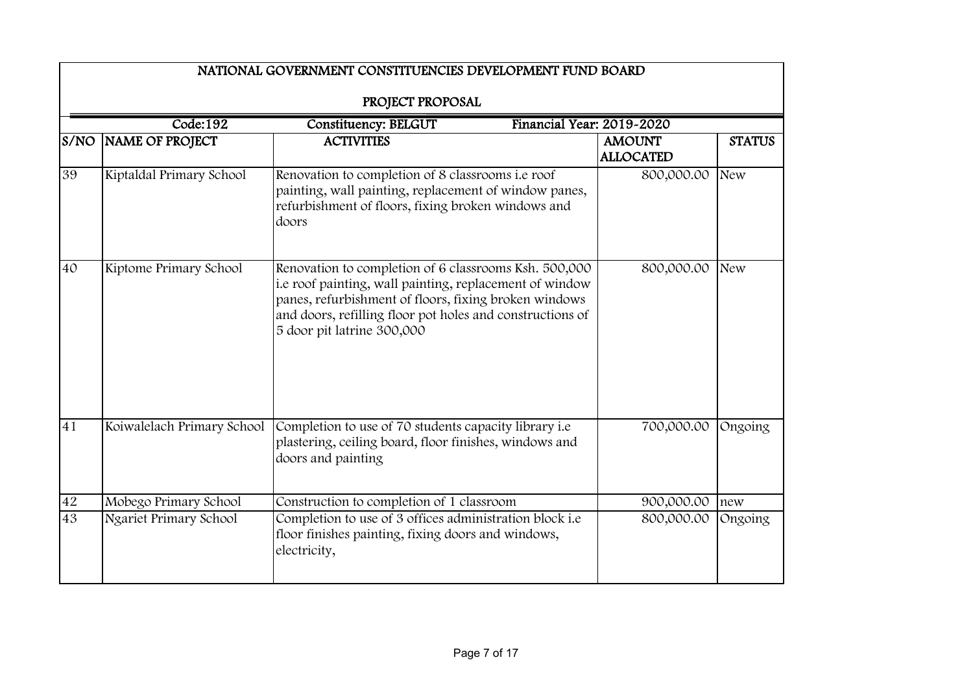|        | NATIONAL GOVERNMENT CONSTITUENCIES DEVELOPMENT FUND BOARD |                                                                                                                                                                                                                                                                      |                                   |               |  |
|--------|-----------------------------------------------------------|----------------------------------------------------------------------------------------------------------------------------------------------------------------------------------------------------------------------------------------------------------------------|-----------------------------------|---------------|--|
|        |                                                           | PROJECT PROPOSAL                                                                                                                                                                                                                                                     |                                   |               |  |
|        | Code:192                                                  | Constituency: BELGUT<br>Financial Year: 2019-2020                                                                                                                                                                                                                    |                                   |               |  |
| S/NO   | NAME OF PROJECT                                           | <b>ACTIVITIES</b>                                                                                                                                                                                                                                                    | <b>AMOUNT</b><br><b>ALLOCATED</b> | <b>STATUS</b> |  |
| 39     | Kiptaldal Primary School                                  | Renovation to completion of 8 classrooms i.e roof<br>painting, wall painting, replacement of window panes,<br>refurbishment of floors, fixing broken windows and<br>doors                                                                                            | 800,000.00                        | <b>New</b>    |  |
| 40     | Kiptome Primary School                                    | Renovation to completion of 6 classrooms Ksh. 500,000<br>i.e roof painting, wall painting, replacement of window<br>panes, refurbishment of floors, fixing broken windows<br>and doors, refilling floor pot holes and constructions of<br>5 door pit latrine 300,000 | 800,000.00                        | <b>New</b>    |  |
| 41     | Koiwalelach Primary School                                | Completion to use of 70 students capacity library i.e<br>plastering, ceiling board, floor finishes, windows and<br>doors and painting                                                                                                                                | 700,000.00                        | Ongoing       |  |
| $42\,$ | Mobego Primary School                                     | Construction to completion of 1 classroom                                                                                                                                                                                                                            | 900,000.00                        | new           |  |
| 43     | Ngariet Primary School                                    | Completion to use of 3 offices administration block i.e<br>floor finishes painting, fixing doors and windows,<br>electricity,                                                                                                                                        | 800,000.00                        | Ongoing       |  |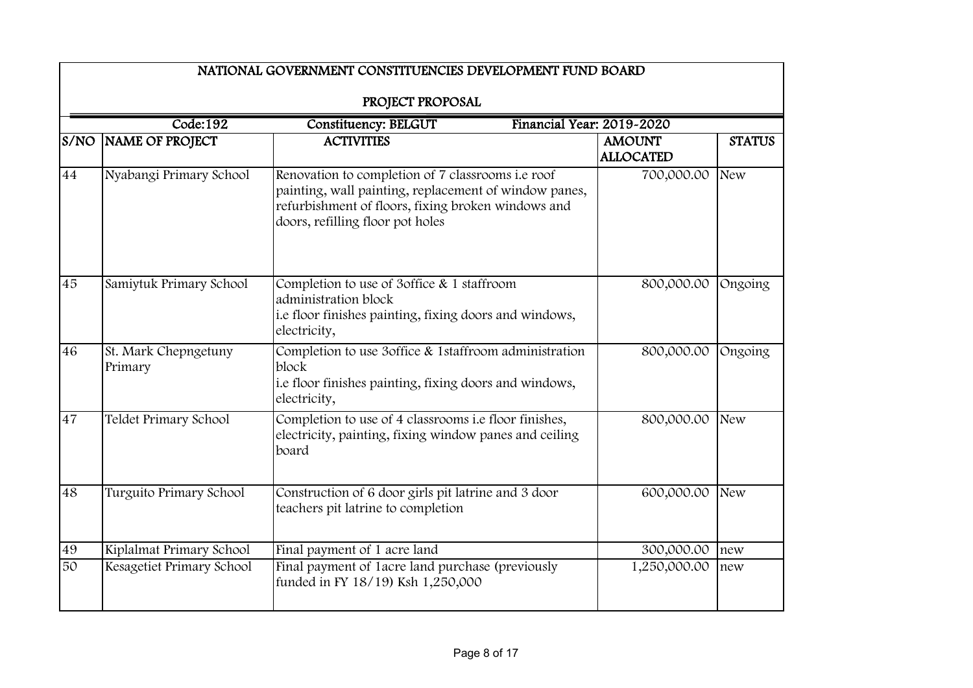|                 | Code:192                                                                                                                              | PROJECT PROPOSAL                                                                                                                                                                                     |              |            |
|-----------------|---------------------------------------------------------------------------------------------------------------------------------------|------------------------------------------------------------------------------------------------------------------------------------------------------------------------------------------------------|--------------|------------|
| S/NO            | Financial Year: 2019-2020<br><b>Constituency: BELGUT</b><br><b>ACTIVITIES</b><br>NAME OF PROJECT<br><b>AMOUNT</b><br><b>ALLOCATED</b> |                                                                                                                                                                                                      |              |            |
| 44              | Nyabangi Primary School                                                                                                               | Renovation to completion of 7 classrooms i.e roof<br>painting, wall painting, replacement of window panes,<br>refurbishment of floors, fixing broken windows and<br>doors, refilling floor pot holes | 700,000.00   | <b>New</b> |
| $\overline{45}$ | Samiytuk Primary School                                                                                                               | Completion to use of 3office & 1 staffroom<br>administration block<br>i.e floor finishes painting, fixing doors and windows,<br>electricity,                                                         | 800,000.00   | Ongoing    |
| 46              | St. Mark Chepngetuny<br>Primary                                                                                                       | Completion to use 3office & 1staffroom administration<br>block<br>i.e floor finishes painting, fixing doors and windows,<br>electricity,                                                             | 800,000.00   | Ongoing    |
| 47              | Teldet Primary School                                                                                                                 | Completion to use of 4 classrooms i.e floor finishes,<br>electricity, painting, fixing window panes and ceiling<br>board                                                                             | 800,000.00   | <b>New</b> |
| 48              | Turguito Primary School                                                                                                               | Construction of 6 door girls pit latrine and 3 door<br>teachers pit latrine to completion                                                                                                            | 600,000.00   | <b>New</b> |
| 49              | Kiplalmat Primary School                                                                                                              | Final payment of 1 acre land                                                                                                                                                                         | 300,000.00   | new        |
| $\overline{50}$ | Kesagetiet Primary School                                                                                                             | Final payment of 1 acre land purchase (previously<br>funded in FY 18/19) Ksh 1,250,000                                                                                                               | 1,250,000.00 | new        |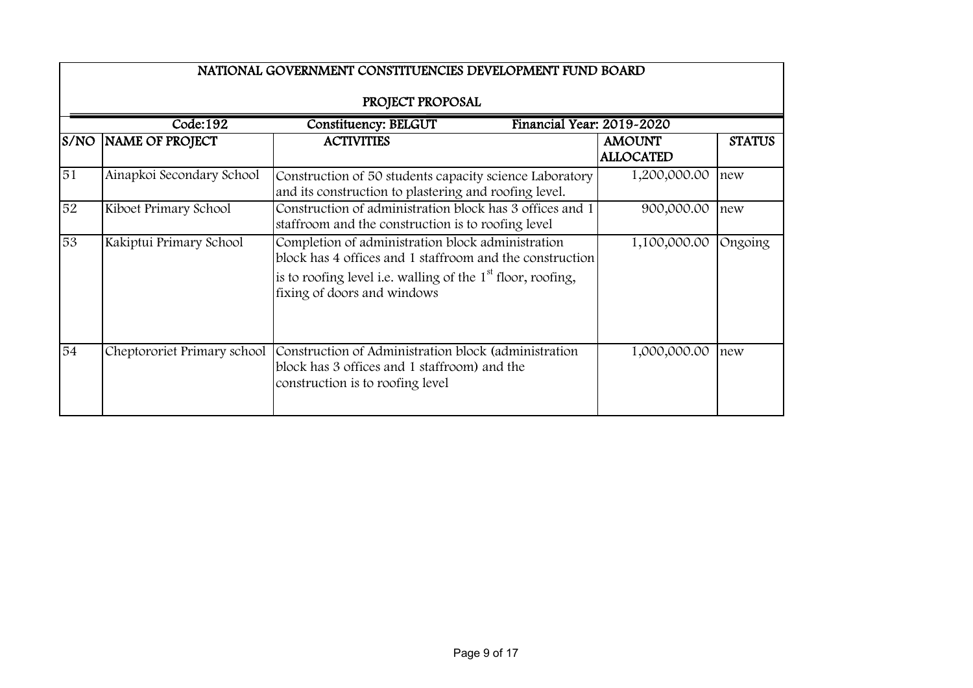|      | NATIONAL GOVERNMENT CONSTITUENCIES DEVELOPMENT FUND BOARD |                                                                                                                                                                                                               |                                   |               |  |  |
|------|-----------------------------------------------------------|---------------------------------------------------------------------------------------------------------------------------------------------------------------------------------------------------------------|-----------------------------------|---------------|--|--|
|      | PROJECT PROPOSAL                                          |                                                                                                                                                                                                               |                                   |               |  |  |
|      | Code:192                                                  | Financial Year: 2019-2020<br><b>Constituency: BELGUT</b>                                                                                                                                                      |                                   |               |  |  |
| S/NO | <b>NAME OF PROJECT</b>                                    | <b>ACTIVITIES</b>                                                                                                                                                                                             | <b>AMOUNT</b><br><b>ALLOCATED</b> | <b>STATUS</b> |  |  |
| 51   | Ainapkoi Secondary School                                 | Construction of 50 students capacity science Laboratory<br>and its construction to plastering and roofing level.                                                                                              | 1,200,000.00                      | new           |  |  |
| 52   | Kiboet Primary School                                     | Construction of administration block has 3 offices and 1<br>staffroom and the construction is to roofing level                                                                                                | 900,000.00                        | new           |  |  |
| 53   | Kakiptui Primary School                                   | Completion of administration block administration<br>block has 4 offices and 1 staffroom and the construction<br>is to roofing level i.e. walling of the $1st$ floor, roofing,<br>fixing of doors and windows | 1,100,000.00                      | Ongoing       |  |  |
| 54   | Cheptororiet Primary school                               | Construction of Administration block (administration<br>block has 3 offices and 1 staffroom) and the<br>construction is to roofing level                                                                      | 1,000,000.00                      | new           |  |  |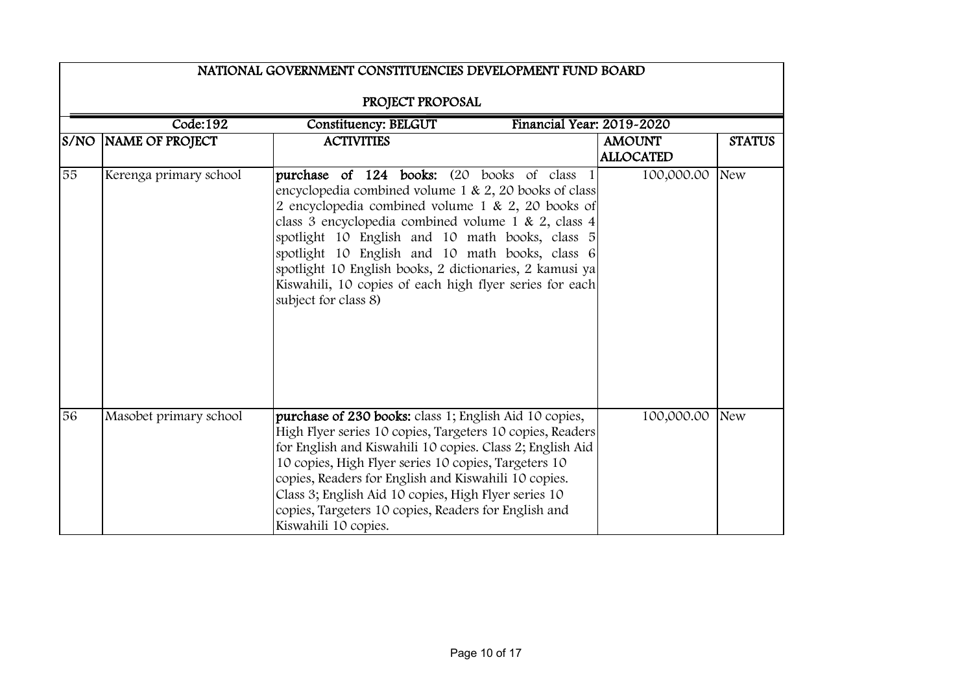|      | NATIONAL GOVERNMENT CONSTITUENCIES DEVELOPMENT FUND BOARD            |                                                                                                                                                                                                                                                                                                                                                                                                                                                                      |  |                                   |               |  |  |
|------|----------------------------------------------------------------------|----------------------------------------------------------------------------------------------------------------------------------------------------------------------------------------------------------------------------------------------------------------------------------------------------------------------------------------------------------------------------------------------------------------------------------------------------------------------|--|-----------------------------------|---------------|--|--|
|      | PROJECT PROPOSAL                                                     |                                                                                                                                                                                                                                                                                                                                                                                                                                                                      |  |                                   |               |  |  |
|      | Code:192<br><b>Constituency: BELGUT</b><br>Financial Year: 2019-2020 |                                                                                                                                                                                                                                                                                                                                                                                                                                                                      |  |                                   |               |  |  |
| S/NO | NAME OF PROJECT                                                      | <b>ACTIVITIES</b>                                                                                                                                                                                                                                                                                                                                                                                                                                                    |  | <b>AMOUNT</b><br><b>ALLOCATED</b> | <b>STATUS</b> |  |  |
| 55   | Kerenga primary school                                               | purchase of 124 books: (20 books of class 1<br>encyclopedia combined volume 1 & 2, 20 books of class<br>2 encyclopedia combined volume 1 & 2, 20 books of<br>class 3 encyclopedia combined volume 1 & 2, class 4<br>spotlight 10 English and 10 math books, class 5<br>spotlight 10 English and 10 math books, class 6<br>spotlight 10 English books, 2 dictionaries, 2 kamusi ya<br>Kiswahili, 10 copies of each high flyer series for each<br>subject for class 8) |  | 100,000.00                        | <b>New</b>    |  |  |
| 56   | Masobet primary school                                               | purchase of 230 books: class 1; English Aid 10 copies,<br>High Flyer series 10 copies, Targeters 10 copies, Readers<br>for English and Kiswahili 10 copies. Class 2; English Aid<br>10 copies, High Flyer series 10 copies, Targeters 10<br>copies, Readers for English and Kiswahili 10 copies.<br>Class 3; English Aid 10 copies, High Flyer series 10<br>copies, Targeters 10 copies, Readers for English and<br>Kiswahili 10 copies.                             |  | 100,000.00                        | <b>New</b>    |  |  |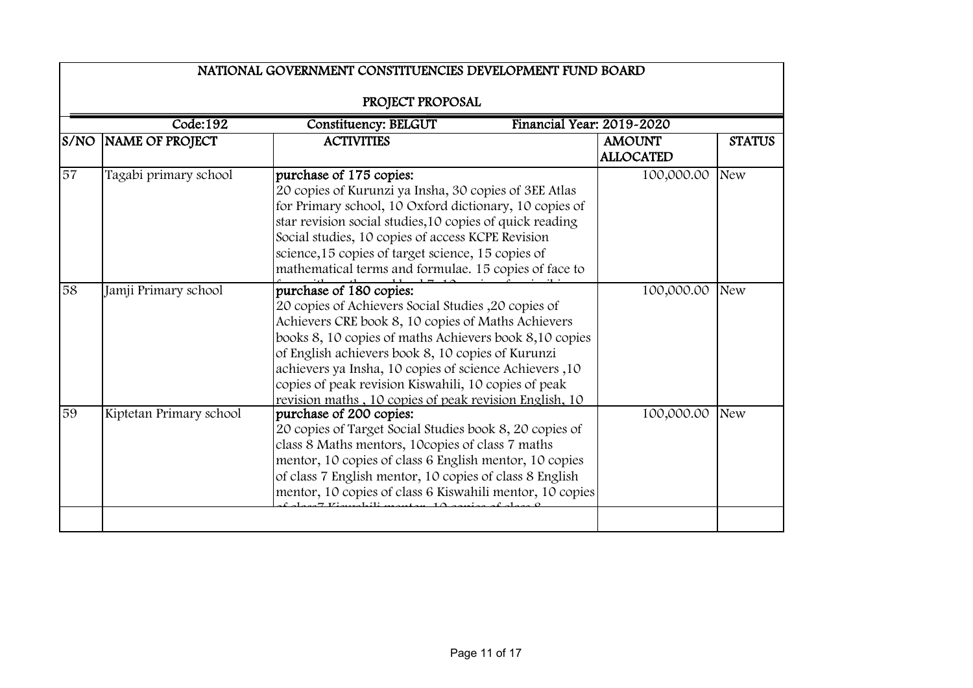|      | NATIONAL GOVERNMENT CONSTITUENCIES DEVELOPMENT FUND BOARD<br>PROJECT PROPOSAL |                                                                                                                                                                                                                                                                                                                                                                                                                                  |                                   |               |  |  |
|------|-------------------------------------------------------------------------------|----------------------------------------------------------------------------------------------------------------------------------------------------------------------------------------------------------------------------------------------------------------------------------------------------------------------------------------------------------------------------------------------------------------------------------|-----------------------------------|---------------|--|--|
|      |                                                                               |                                                                                                                                                                                                                                                                                                                                                                                                                                  |                                   |               |  |  |
|      | Code:192<br><b>Constituency: BELGUT</b><br>Financial Year: 2019-2020          |                                                                                                                                                                                                                                                                                                                                                                                                                                  |                                   |               |  |  |
| S/NO | NAME OF PROJECT                                                               | <b>ACTIVITIES</b>                                                                                                                                                                                                                                                                                                                                                                                                                | <b>AMOUNT</b><br><b>ALLOCATED</b> | <b>STATUS</b> |  |  |
| 57   | Tagabi primary school                                                         | purchase of 175 copies:<br>20 copies of Kurunzi ya Insha, 30 copies of 3EE Atlas<br>for Primary school, 10 Oxford dictionary, 10 copies of<br>star revision social studies, 10 copies of quick reading<br>Social studies, 10 copies of access KCPE Revision<br>science, 15 copies of target science, 15 copies of<br>mathematical terms and formulae. 15 copies of face to                                                       | 100,000.00                        | <b>New</b>    |  |  |
| 58   | Jamji Primary school                                                          | purchase of 180 copies:<br>20 copies of Achievers Social Studies , 20 copies of<br>Achievers CRE book 8, 10 copies of Maths Achievers<br>books 8, 10 copies of maths Achievers book 8,10 copies<br>of English achievers book 8, 10 copies of Kurunzi<br>achievers ya Insha, 10 copies of science Achievers ,10<br>copies of peak revision Kiswahili, 10 copies of peak<br>revision maths, 10 copies of peak revision English, 10 | 100,000.00                        | <b>New</b>    |  |  |
| 59   | Kiptetan Primary school                                                       | purchase of 200 copies:<br>20 copies of Target Social Studies book 8, 20 copies of<br>class 8 Maths mentors, 10copies of class 7 maths<br>mentor, 10 copies of class 6 English mentor, 10 copies<br>of class 7 English mentor, 10 copies of class 8 English<br>mentor, 10 copies of class 6 Kiswahili mentor, 10 copies                                                                                                          | 100,000.00                        | <b>New</b>    |  |  |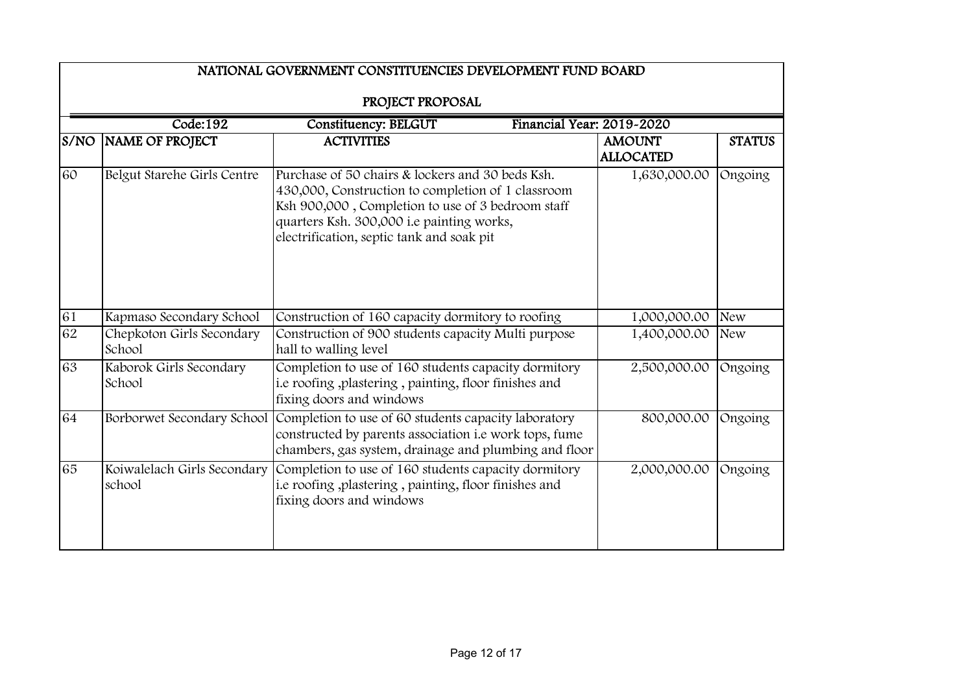|      | NATIONAL GOVERNMENT CONSTITUENCIES DEVELOPMENT FUND BOARD            |                                                                                                                                                                                                                                                       |                                   |               |  |  |
|------|----------------------------------------------------------------------|-------------------------------------------------------------------------------------------------------------------------------------------------------------------------------------------------------------------------------------------------------|-----------------------------------|---------------|--|--|
|      | PROJECT PROPOSAL                                                     |                                                                                                                                                                                                                                                       |                                   |               |  |  |
|      | Code:192<br><b>Constituency: BELGUT</b><br>Financial Year: 2019-2020 |                                                                                                                                                                                                                                                       |                                   |               |  |  |
| S/NO | NAME OF PROJECT                                                      | <b>ACTIVITIES</b>                                                                                                                                                                                                                                     | <b>AMOUNT</b><br><b>ALLOCATED</b> | <b>STATUS</b> |  |  |
| 60   | Belgut Starehe Girls Centre                                          | Purchase of 50 chairs & lockers and 30 beds Ksh.<br>430,000, Construction to completion of 1 classroom<br>Ksh 900,000, Completion to use of 3 bedroom staff<br>quarters Ksh. 300,000 i.e painting works,<br>electrification, septic tank and soak pit | 1,630,000.00                      | Ongoing       |  |  |
| 61   | Kapmaso Secondary School                                             | Construction of 160 capacity dormitory to roofing                                                                                                                                                                                                     | 1,000,000.00                      | <b>New</b>    |  |  |
| 62   | Chepkoton Girls Secondary<br>School                                  | Construction of 900 students capacity Multi purpose<br>hall to walling level                                                                                                                                                                          | 1,400,000.00                      | <b>New</b>    |  |  |
| 63   | Kaborok Girls Secondary<br>School                                    | Completion to use of 160 students capacity dormitory<br>i.e roofing, plastering, painting, floor finishes and<br>fixing doors and windows                                                                                                             | 2,500,000.00                      | Ongoing       |  |  |
| 64   | Borborwet Secondary School                                           | Completion to use of 60 students capacity laboratory<br>constructed by parents association i.e work tops, fume<br>chambers, gas system, drainage and plumbing and floor                                                                               | 800,000.00                        | Ongoing       |  |  |
| 65   | Koiwalelach Girls Secondary<br>school                                | Completion to use of 160 students capacity dormitory<br>i.e roofing ,plastering, painting, floor finishes and<br>fixing doors and windows                                                                                                             | 2,000,000.00                      | Ongoing       |  |  |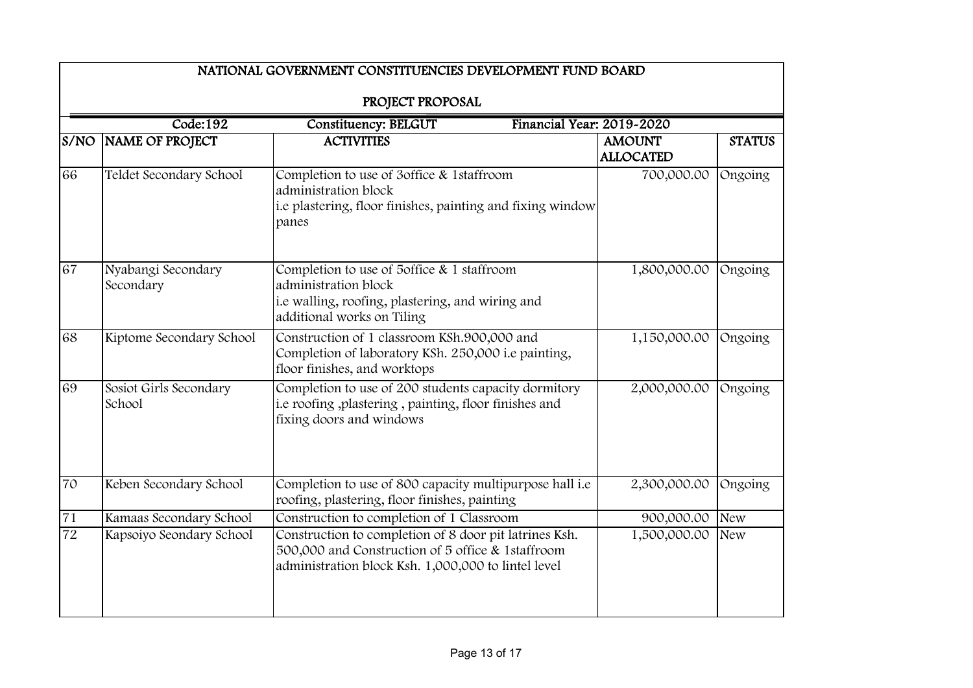|                 | NATIONAL GOVERNMENT CONSTITUENCIES DEVELOPMENT FUND BOARD |                                                                                                                                                                    |                                   |               |  |  |
|-----------------|-----------------------------------------------------------|--------------------------------------------------------------------------------------------------------------------------------------------------------------------|-----------------------------------|---------------|--|--|
|                 | PROJECT PROPOSAL                                          |                                                                                                                                                                    |                                   |               |  |  |
|                 | Code:192                                                  | Financial Year: 2019-2020<br><b>Constituency: BELGUT</b>                                                                                                           |                                   |               |  |  |
| S/NO            | <b>NAME OF PROJECT</b>                                    | <b>ACTIVITIES</b>                                                                                                                                                  | <b>AMOUNT</b><br><b>ALLOCATED</b> | <b>STATUS</b> |  |  |
| 66              | Teldet Secondary School                                   | Completion to use of 3office & 1staffroom<br>administration block<br>i.e plastering, floor finishes, painting and fixing window<br>panes                           | 700,000.00                        | Ongoing       |  |  |
| 67              | Nyabangi Secondary<br>Secondary                           | Completion to use of 5office & 1 staffroom<br>administration block<br>i.e walling, roofing, plastering, and wiring and<br>additional works on Tiling               | 1,800,000.00                      | Ongoing       |  |  |
| 68              | Kiptome Secondary School                                  | Construction of 1 classroom KSh.900,000 and<br>Completion of laboratory KSh. 250,000 i.e painting,<br>floor finishes, and worktops                                 | 1,150,000.00                      | Ongoing       |  |  |
| 69              | Sosiot Girls Secondary<br>School                          | Completion to use of 200 students capacity dormitory<br>i.e roofing, plastering, painting, floor finishes and<br>fixing doors and windows                          | 2,000,000.00                      | Ongoing       |  |  |
| 70              | Keben Secondary School                                    | Completion to use of 800 capacity multipurpose hall i.e<br>roofing, plastering, floor finishes, painting                                                           | 2,300,000.00                      | Ongoing       |  |  |
| 71              | Kamaas Secondary School                                   | Construction to completion of 1 Classroom                                                                                                                          | 900,000.00                        | <b>New</b>    |  |  |
| $\overline{72}$ | Kapsoiyo Seondary School                                  | Construction to completion of 8 door pit latrines Ksh.<br>500,000 and Construction of 5 office & 1staffroom<br>administration block Ksh. 1,000,000 to lintel level | 1,500,000.00                      | <b>New</b>    |  |  |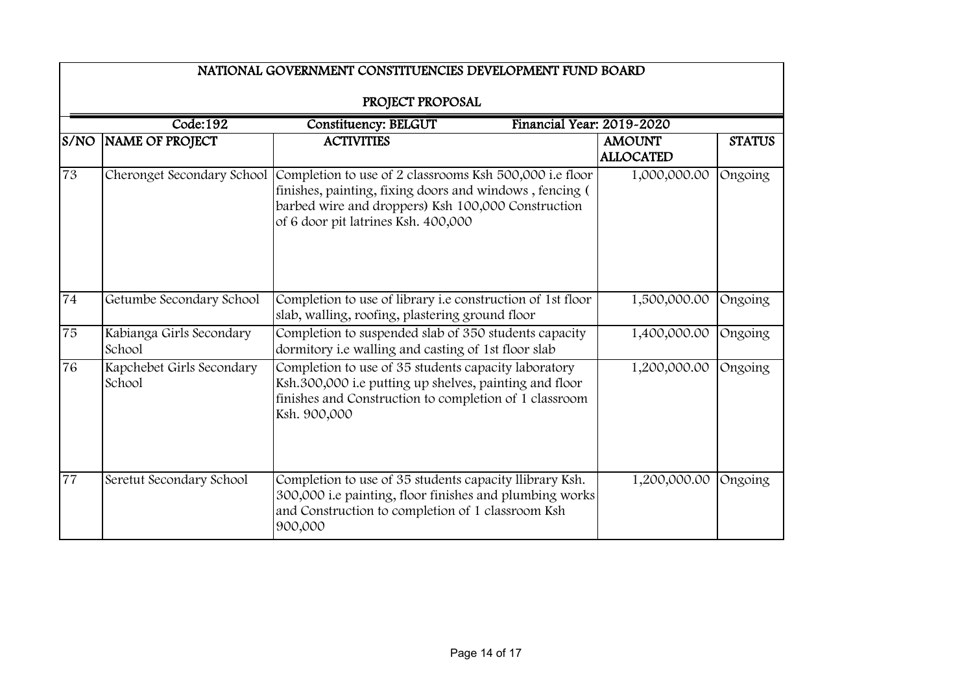|      | NATIONAL GOVERNMENT CONSTITUENCIES DEVELOPMENT FUND BOARD            |                                                                                                                                                                                                                 |                                   |               |  |  |
|------|----------------------------------------------------------------------|-----------------------------------------------------------------------------------------------------------------------------------------------------------------------------------------------------------------|-----------------------------------|---------------|--|--|
|      | PROJECT PROPOSAL                                                     |                                                                                                                                                                                                                 |                                   |               |  |  |
|      | Code:192<br>Financial Year: 2019-2020<br><b>Constituency: BELGUT</b> |                                                                                                                                                                                                                 |                                   |               |  |  |
| S/NO | <b>NAME OF PROJECT</b>                                               | <b>ACTIVITIES</b>                                                                                                                                                                                               | <b>AMOUNT</b><br><b>ALLOCATED</b> | <b>STATUS</b> |  |  |
| 73   | Cheronget Secondary School                                           | Completion to use of 2 classrooms Ksh 500,000 i.e floor<br>finishes, painting, fixing doors and windows, fencing (<br>barbed wire and droppers) Ksh 100,000 Construction<br>of 6 door pit latrines Ksh. 400,000 | 1,000,000.00                      | Ongoing       |  |  |
| 74   | Getumbe Secondary School                                             | Completion to use of library i.e construction of 1st floor<br>slab, walling, roofing, plastering ground floor                                                                                                   | 1,500,000.00                      | Ongoing       |  |  |
| 75   | Kabianga Girls Secondary<br>School                                   | Completion to suspended slab of 350 students capacity<br>dormitory i.e walling and casting of 1st floor slab                                                                                                    | 1,400,000.00                      | Ongoing       |  |  |
| 76   | Kapchebet Girls Secondary<br>School                                  | Completion to use of 35 students capacity laboratory<br>Ksh.300,000 i.e putting up shelves, painting and floor<br>finishes and Construction to completion of 1 classroom<br>Ksh. 900,000                        | 1,200,000.00                      | Ongoing       |  |  |
| 77   | Seretut Secondary School                                             | Completion to use of 35 students capacity llibrary Ksh.<br>300,000 i.e painting, floor finishes and plumbing works<br>and Construction to completion of 1 classroom Ksh<br>900,000                              | 1,200,000.00                      | Ongoing       |  |  |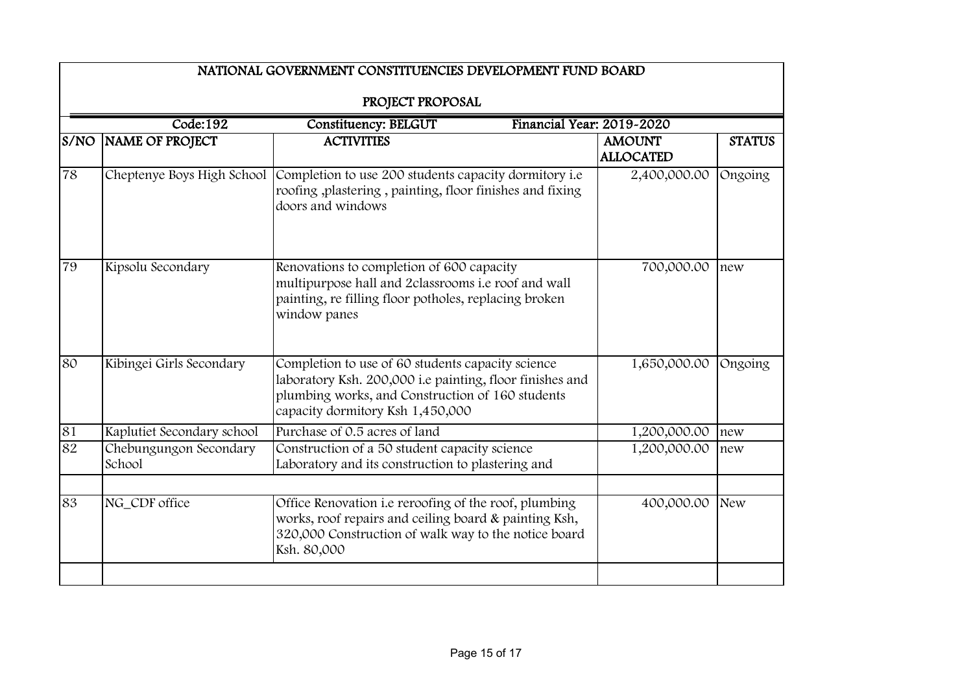|      | NATIONAL GOVERNMENT CONSTITUENCIES DEVELOPMENT FUND BOARD            |                                                                                                                                                                                                       |                                   |               |  |
|------|----------------------------------------------------------------------|-------------------------------------------------------------------------------------------------------------------------------------------------------------------------------------------------------|-----------------------------------|---------------|--|
|      | PROJECT PROPOSAL                                                     |                                                                                                                                                                                                       |                                   |               |  |
|      | Code:192<br><b>Constituency: BELGUT</b><br>Financial Year: 2019-2020 |                                                                                                                                                                                                       |                                   |               |  |
| S/NO | NAME OF PROJECT                                                      | <b>ACTIVITIES</b>                                                                                                                                                                                     | <b>AMOUNT</b><br><b>ALLOCATED</b> | <b>STATUS</b> |  |
| 78   |                                                                      | Cheptenye Boys High School Completion to use 200 students capacity dormitory i.e<br>roofing ,plastering, painting, floor finishes and fixing<br>doors and windows                                     | 2,400,000.00                      | Ongoing       |  |
| 79   | Kipsolu Secondary                                                    | Renovations to completion of 600 capacity<br>multipurpose hall and 2classrooms i.e roof and wall<br>painting, re filling floor potholes, replacing broken<br>window panes                             | 700,000.00                        | new           |  |
| 80   | Kibingei Girls Secondary                                             | Completion to use of 60 students capacity science<br>laboratory Ksh. 200,000 i.e painting, floor finishes and<br>plumbing works, and Construction of 160 students<br>capacity dormitory Ksh 1,450,000 | 1,650,000.00                      | Ongoing       |  |
| 81   | Kaplutiet Secondary school                                           | Purchase of 0.5 acres of land                                                                                                                                                                         | 1,200,000.00                      | new           |  |
| 82   | Chebungungon Secondary<br>School                                     | Construction of a 50 student capacity science<br>Laboratory and its construction to plastering and                                                                                                    | 1,200,000.00                      | new           |  |
|      |                                                                      |                                                                                                                                                                                                       |                                   |               |  |
| 83   | NG_CDF office                                                        | Office Renovation i.e reroofing of the roof, plumbing<br>works, roof repairs and ceiling board & painting Ksh,<br>320,000 Construction of walk way to the notice board<br>Ksh. 80,000                 | 400,000.00                        | <b>New</b>    |  |
|      |                                                                      |                                                                                                                                                                                                       |                                   |               |  |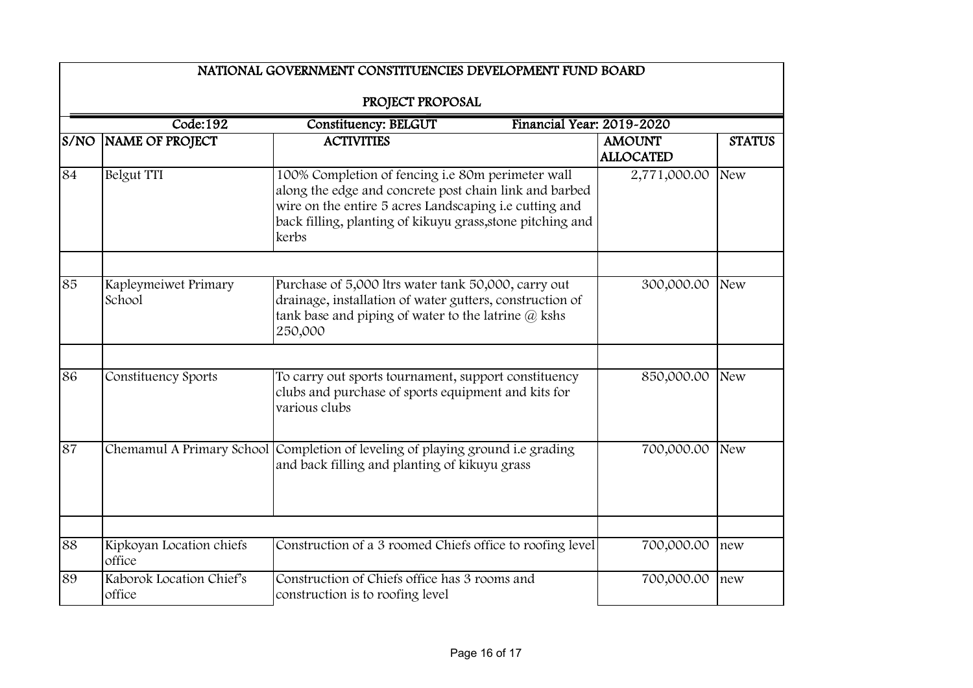|      | NATIONAL GOVERNMENT CONSTITUENCIES DEVELOPMENT FUND BOARD<br>PROJECT PROPOSAL |                                                                                                                                                                                                                                              |                                   |               |  |
|------|-------------------------------------------------------------------------------|----------------------------------------------------------------------------------------------------------------------------------------------------------------------------------------------------------------------------------------------|-----------------------------------|---------------|--|
|      | Code:192<br><b>Constituency: BELGUT</b><br>Financial Year: 2019-2020          |                                                                                                                                                                                                                                              |                                   |               |  |
| S/NO | NAME OF PROJECT                                                               | <b>ACTIVITIES</b>                                                                                                                                                                                                                            | <b>AMOUNT</b><br><b>ALLOCATED</b> | <b>STATUS</b> |  |
| 84   | Belgut TTI                                                                    | 100% Completion of fencing i.e 80m perimeter wall<br>along the edge and concrete post chain link and barbed<br>wire on the entire 5 acres Landscaping i.e cutting and<br>back filling, planting of kikuyu grass, stone pitching and<br>kerbs | 2,771,000.00                      | <b>New</b>    |  |
| 85   | Kapleymeiwet Primary<br>School                                                | Purchase of 5,000 ltrs water tank 50,000, carry out<br>drainage, installation of water gutters, construction of<br>tank base and piping of water to the latrine @ kshs<br>250,000                                                            | 300,000.00                        | <b>New</b>    |  |
| 86   | Constituency Sports                                                           | To carry out sports tournament, support constituency<br>clubs and purchase of sports equipment and kits for<br>various clubs                                                                                                                 | 850,000.00                        | <b>New</b>    |  |
| 87   |                                                                               | Chemamul A Primary School Completion of leveling of playing ground i.e grading<br>and back filling and planting of kikuyu grass                                                                                                              | 700,000.00                        | <b>New</b>    |  |
| 88   | Kipkoyan Location chiefs                                                      | Construction of a 3 roomed Chiefs office to roofing level                                                                                                                                                                                    | 700,000.00                        | new           |  |
|      | office                                                                        |                                                                                                                                                                                                                                              |                                   |               |  |
| 89   | Kaborok Location Chief's<br>office                                            | Construction of Chiefs office has 3 rooms and<br>construction is to roofing level                                                                                                                                                            | 700,000.00                        | new           |  |